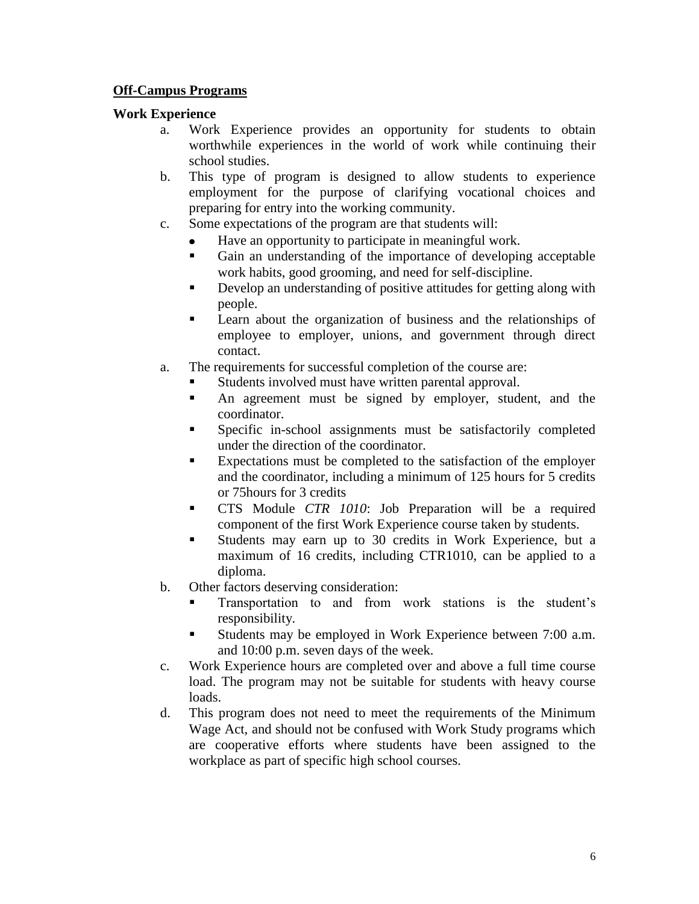### **Off-Campus Programs**

#### **Work Experience**

- a. Work Experience provides an opportunity for students to obtain worthwhile experiences in the world of work while continuing their school studies.
- b. This type of program is designed to allow students to experience employment for the purpose of clarifying vocational choices and preparing for entry into the working community.
- c. Some expectations of the program are that students will:
	- Have an opportunity to participate in meaningful work.
	- Gain an understanding of the importance of developing acceptable work habits, good grooming, and need for self-discipline.
	- Develop an understanding of positive attitudes for getting along with people.
	- **Example 1** Learn about the organization of business and the relationships of employee to employer, unions, and government through direct contact.
- a. The requirements for successful completion of the course are:
	- Students involved must have written parental approval.
	- An agreement must be signed by employer, student, and the coordinator.
	- Specific in-school assignments must be satisfactorily completed under the direction of the coordinator.
	- Expectations must be completed to the satisfaction of the employer and the coordinator, including a minimum of 125 hours for 5 credits or 75hours for 3 credits
	- CTS Module *CTR 1010*: Job Preparation will be a required component of the first Work Experience course taken by students.
	- Students may earn up to 30 credits in Work Experience, but a maximum of 16 credits, including CTR1010, can be applied to a diploma.
- b. Other factors deserving consideration:
	- Transportation to and from work stations is the student's responsibility.
	- Students may be employed in Work Experience between 7:00 a.m. and 10:00 p.m. seven days of the week.
- c. Work Experience hours are completed over and above a full time course load. The program may not be suitable for students with heavy course loads.
- d. This program does not need to meet the requirements of the Minimum Wage Act, and should not be confused with Work Study programs which are cooperative efforts where students have been assigned to the workplace as part of specific high school courses.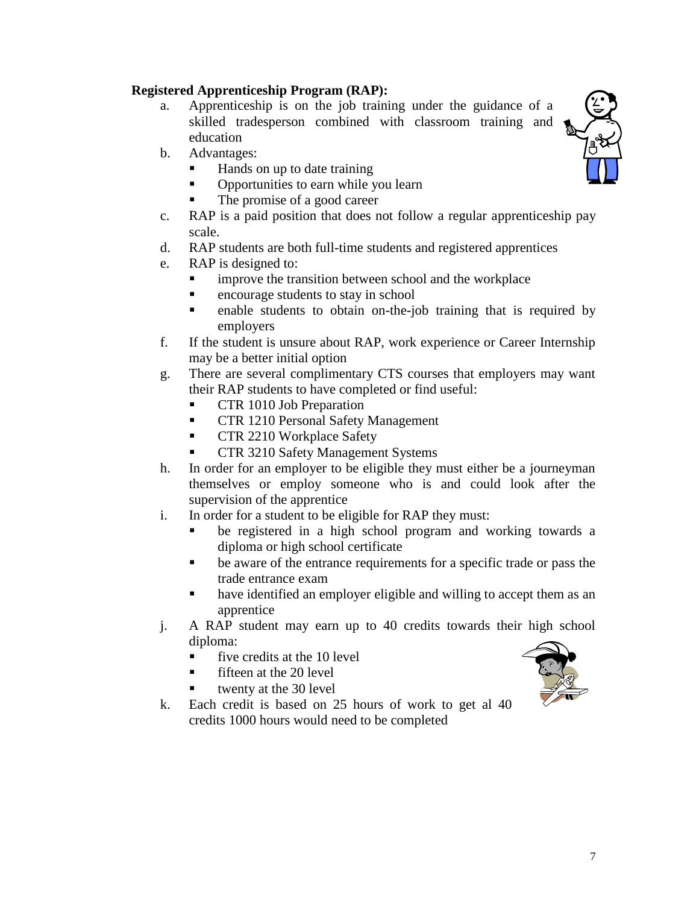## **Registered Apprenticeship Program (RAP):**

- a. Apprenticeship is on the job training under the guidance of a skilled tradesperson combined with classroom training and education
- b. Advantages:
	- Hands on up to date training
	- Opportunities to earn while you learn
	- The promise of a good career
- c. RAP is a paid position that does not follow a regular apprenticeship pay scale.
- d. RAP students are both full-time students and registered apprentices
- e. RAP is designed to:
	- improve the transition between school and the workplace
	- **Exercise** encourage students to stay in school
	- **enable** students to obtain on-the-job training that is required by employers
- f. If the student is unsure about RAP, work experience or Career Internship may be a better initial option
- g. There are several complimentary CTS courses that employers may want their RAP students to have completed or find useful:
	- **CTR** 1010 Job Preparation
	- **CTR 1210 Personal Safety Management**
	- **CTR 2210 Workplace Safety**
	- CTR 3210 Safety Management Systems
- h. In order for an employer to be eligible they must either be a journeyman themselves or employ someone who is and could look after the supervision of the apprentice
- i. In order for a student to be eligible for RAP they must:
	- be registered in a high school program and working towards a diploma or high school certificate
	- be aware of the entrance requirements for a specific trade or pass the trade entrance exam
	- have identified an employer eligible and willing to accept them as an apprentice
- j. A RAP student may earn up to 40 credits towards their high school diploma:
	- $\blacksquare$  five credits at the 10 level
	- fifteen at the 20 level
	- twenty at the 30 level
- k. Each credit is based on 25 hours of work to get al 40 credits 1000 hours would need to be completed